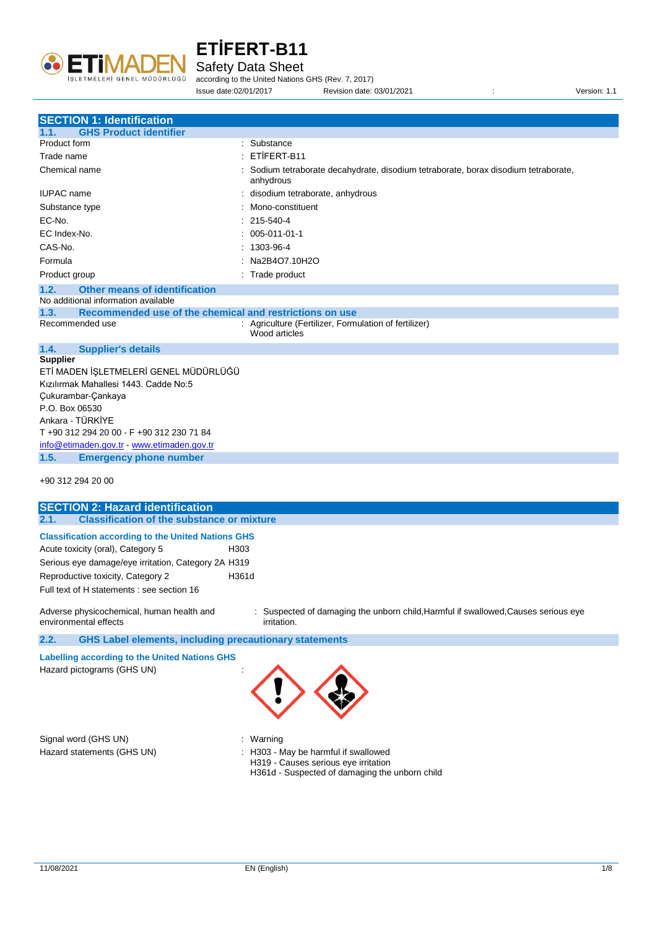

Safety Data Sheet

according to the United Nations GHS (Rev. 7, 2017) Issue date:02/01/2017 Revision date: 03/01/2021 : Version: 1.1

| <b>SECTION 1: Identification</b>                                                   |                                                                                                |
|------------------------------------------------------------------------------------|------------------------------------------------------------------------------------------------|
| <b>GHS Product identifier</b><br>1.1.                                              |                                                                                                |
| Product form                                                                       | : Substance                                                                                    |
| Trade name                                                                         | ETİFERT-B11                                                                                    |
| Chemical name                                                                      | Sodium tetraborate decahydrate, disodium tetraborate, borax disodium tetraborate,<br>anhydrous |
| <b>IUPAC</b> name                                                                  | disodium tetraborate, anhydrous                                                                |
| Substance type                                                                     | Mono-constituent                                                                               |
| EC-No.                                                                             | 215-540-4                                                                                      |
| EC Index-No.                                                                       | $: 005 - 011 - 01 - 1$                                                                         |
| CAS-No.                                                                            | $1303-96-4$                                                                                    |
| Formula                                                                            | : Na2B4O7.10H2O                                                                                |
| Product group                                                                      | : Trade product                                                                                |
| 1.2.<br><b>Other means of identification</b>                                       |                                                                                                |
| No additional information available                                                |                                                                                                |
| 1.3.<br>Recommended use of the chemical and restrictions on use<br>Recommended use | : Agriculture (Fertilizer, Formulation of fertilizer)                                          |
|                                                                                    | Wood articles                                                                                  |
| 1.4.<br><b>Supplier's details</b>                                                  |                                                                                                |
| <b>Supplier</b>                                                                    |                                                                                                |
| ETİ MADEN İŞLETMELERİ GENEL MÜDÜRLÜĞÜ                                              |                                                                                                |
| Kızılırmak Mahallesi 1443, Cadde No:5                                              |                                                                                                |
| Çukurambar-Çankaya                                                                 |                                                                                                |
| P.O. Box 06530                                                                     |                                                                                                |
| Ankara - TÜRKİYE                                                                   |                                                                                                |
| T +90 312 294 20 00 - F +90 312 230 71 84                                          |                                                                                                |
| info@etimaden.gov.tr - www.etimaden.gov.tr                                         |                                                                                                |
| 1.5.<br><b>Emergency phone number</b>                                              |                                                                                                |
| +90 312 294 20 00                                                                  |                                                                                                |
|                                                                                    |                                                                                                |

| <b>SECTION 2: Hazard identification</b>                                     |                                                                                                          |
|-----------------------------------------------------------------------------|----------------------------------------------------------------------------------------------------------|
| <b>Classification of the substance or mixture</b><br>2.1.                   |                                                                                                          |
| <b>Classification according to the United Nations GHS</b>                   |                                                                                                          |
| Acute toxicity (oral), Category 5                                           | H303                                                                                                     |
| Serious eye damage/eye irritation, Category 2A H319                         |                                                                                                          |
| Reproductive toxicity, Category 2                                           | H361d                                                                                                    |
| Full text of H statements : see section 16                                  |                                                                                                          |
| Adverse physicochemical, human health and<br>environmental effects          | : Suspected of damaging the unborn child, Harmful if swallowed, Causes serious eye<br><i>irritation.</i> |
| <b>GHS Label elements, including precautionary statements</b><br>2.2.       |                                                                                                          |
| Labelling according to the United Nations GHS<br>Hazard pictograms (GHS UN) |                                                                                                          |

Signal word (GHS UN) : Warning

- 
- Hazard statements (GHS UN) : H303 May be harmful if swallowed H319 - Causes serious eye irritation H361d - Suspected of damaging the unborn child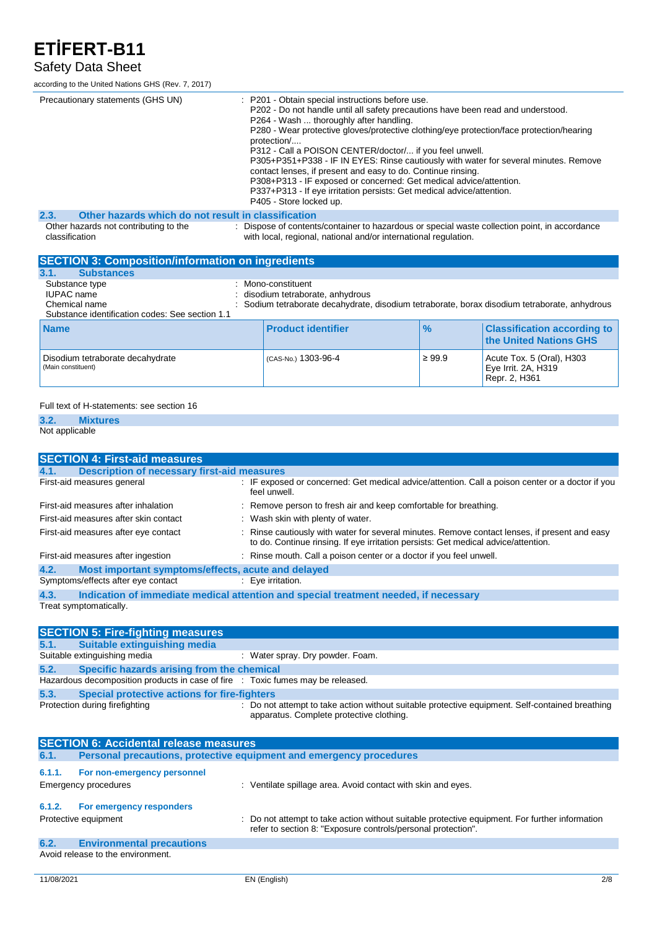### Safety Data Sheet

according to the United Nations GHS (Rev. 7, 2017)

| Precautionary statements (GHS UN)                           | : P201 - Obtain special instructions before use.<br>P202 - Do not handle until all safety precautions have been read and understood.<br>P264 - Wash  thoroughly after handling.<br>P280 - Wear protective gloves/protective clothing/eye protection/face protection/hearing<br>protection/<br>P312 - Call a POISON CENTER/doctor/ if you feel unwell.<br>P305+P351+P338 - IF IN EYES: Rinse cautiously with water for several minutes. Remove<br>contact lenses, if present and easy to do. Continue rinsing.<br>P308+P313 - IF exposed or concerned: Get medical advice/attention.<br>P337+P313 - If eye irritation persists: Get medical advice/attention.<br>P405 - Store locked up. |
|-------------------------------------------------------------|-----------------------------------------------------------------------------------------------------------------------------------------------------------------------------------------------------------------------------------------------------------------------------------------------------------------------------------------------------------------------------------------------------------------------------------------------------------------------------------------------------------------------------------------------------------------------------------------------------------------------------------------------------------------------------------------|
| Other hazards which do not result in classification<br>2.3. |                                                                                                                                                                                                                                                                                                                                                                                                                                                                                                                                                                                                                                                                                         |
| Other hazards not contributing to the<br>classification     | : Dispose of contents/container to hazardous or special waste collection point, in accordance<br>with local, regional, national and/or international regulation.                                                                                                                                                                                                                                                                                                                                                                                                                                                                                                                        |
| <b>SECTION 3: Composition/information on ingredients</b>    |                                                                                                                                                                                                                                                                                                                                                                                                                                                                                                                                                                                                                                                                                         |

| 3.1.<br><b>Substances</b>                                                                               |                                                                                                                                                      |               |                                                                   |
|---------------------------------------------------------------------------------------------------------|------------------------------------------------------------------------------------------------------------------------------------------------------|---------------|-------------------------------------------------------------------|
| Substance type<br><b>IUPAC</b> name<br>Chemical name<br>Substance identification codes: See section 1.1 | : Mono-constituent<br>disodium tetraborate, anhydrous<br>Sodium tetraborate decahydrate, disodium tetraborate, borax disodium tetraborate, anhydrous |               |                                                                   |
| <b>Name</b>                                                                                             | <b>Product identifier</b>                                                                                                                            | $\frac{9}{6}$ | <b>Classification according to</b><br>the United Nations GHS      |
| Disodium tetraborate decahydrate<br>(Main constituent)                                                  | (CAS-No.) 1303-96-4                                                                                                                                  | $\geq 99.9$   | Acute Tox. 5 (Oral), H303<br>Eye Irrit. 2A, H319<br>Repr. 2, H361 |

#### Full text of H-statements: see section 16

#### **3.2. Mixtures**

#### Not applicable

| <b>SECTION 4: First-aid measures</b>                       |                                                                                                                                                                                     |
|------------------------------------------------------------|-------------------------------------------------------------------------------------------------------------------------------------------------------------------------------------|
| <b>Description of necessary first-aid measures</b><br>4.1. |                                                                                                                                                                                     |
| First-aid measures general                                 | : IF exposed or concerned: Get medical advice/attention. Call a poison center or a doctor if you<br>feel unwell.                                                                    |
| First-aid measures after inhalation                        | : Remove person to fresh air and keep comfortable for breathing.                                                                                                                    |
| First-aid measures after skin contact                      | : Wash skin with plenty of water.                                                                                                                                                   |
| First-aid measures after eye contact                       | : Rinse cautiously with water for several minutes. Remove contact lenses, if present and easy<br>to do. Continue rinsing. If eye irritation persists: Get medical advice/attention. |
| First-aid measures after ingestion                         | : Rinse mouth. Call a poison center or a doctor if you feel unwell.                                                                                                                 |
| Most important symptoms/effects, acute and delayed<br>4.2. |                                                                                                                                                                                     |
| Symptoms/effects after eye contact                         | : Eve irritation.                                                                                                                                                                   |
| 4.3.                                                       | Indication of immediate medical attention and special treatment needed, if necessary                                                                                                |
| Treat symptomatically.                                     |                                                                                                                                                                                     |

|      | <b>SECTION 5: Fire-fighting measures</b>                                        |                                                                                                                                             |
|------|---------------------------------------------------------------------------------|---------------------------------------------------------------------------------------------------------------------------------------------|
|      | 5.1. Suitable extinguishing media                                               |                                                                                                                                             |
|      | Suitable extinguishing media                                                    | : Water spray. Dry powder. Foam.                                                                                                            |
| 5.2. | Specific hazards arising from the chemical                                      |                                                                                                                                             |
|      | Hazardous decomposition products in case of fire : Toxic fumes may be released. |                                                                                                                                             |
| 5.3. | Special protective actions for fire-fighters                                    |                                                                                                                                             |
|      | Protection during firefighting                                                  | : Do not attempt to take action without suitable protective equipment. Self-contained breathing<br>apparatus. Complete protective clothing. |

|        | <b>SECTION 6: Accidental release measures</b>              |                                                                                                                                                                |
|--------|------------------------------------------------------------|----------------------------------------------------------------------------------------------------------------------------------------------------------------|
| 6.1.   |                                                            | Personal precautions, protective equipment and emergency procedures                                                                                            |
| 6.1.1. | For non-emergency personnel<br><b>Emergency procedures</b> | : Ventilate spillage area. Avoid contact with skin and eyes.                                                                                                   |
| 6.1.2. | For emergency responders<br>Protective equipment           | : Do not attempt to take action without suitable protective equipment. For further information<br>refer to section 8: "Exposure controls/personal protection". |
| 6.2.   | <b>Environmental precautions</b>                           |                                                                                                                                                                |
|        | Avoid release to the environment.                          |                                                                                                                                                                |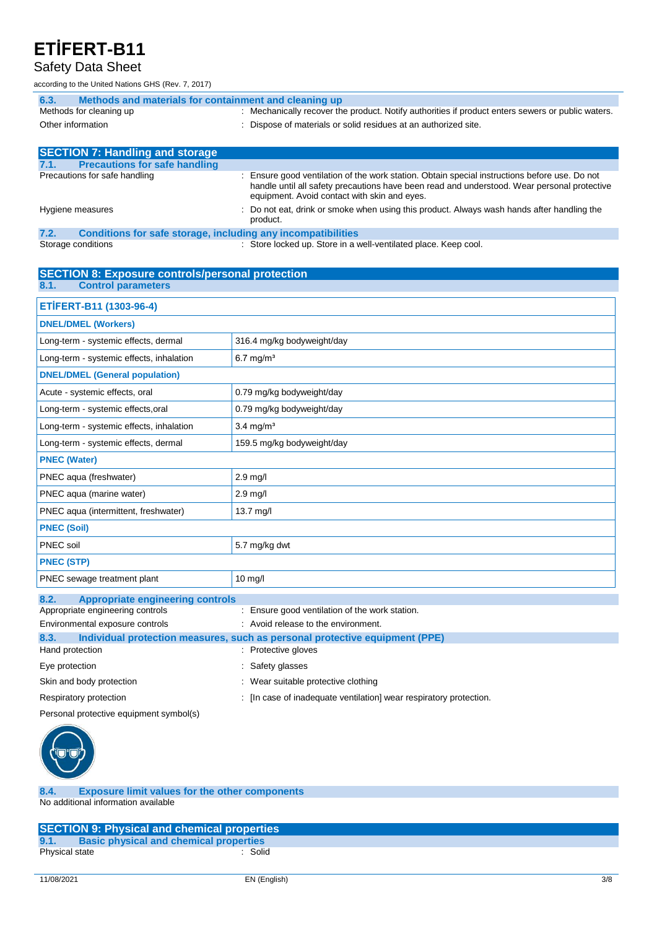#### Safety Data Sheet

according to the United Nations GHS (Rev. 7, 2017)

| Methods and materials for containment and cleaning up<br>6.3.        |                                                                                                                                                                                                                                              |
|----------------------------------------------------------------------|----------------------------------------------------------------------------------------------------------------------------------------------------------------------------------------------------------------------------------------------|
| Methods for cleaning up                                              | : Mechanically recover the product. Notify authorities if product enters sewers or public waters.                                                                                                                                            |
| Other information                                                    | : Dispose of materials or solid residues at an authorized site.                                                                                                                                                                              |
|                                                                      |                                                                                                                                                                                                                                              |
| <b>SECTION 7: Handling and storage</b>                               |                                                                                                                                                                                                                                              |
| <b>Precautions for safe handling</b><br>7.1.                         |                                                                                                                                                                                                                                              |
| Precautions for safe handling                                        | : Ensure good ventilation of the work station. Obtain special instructions before use. Do not<br>handle until all safety precautions have been read and understood. Wear personal protective<br>equipment. Avoid contact with skin and eyes. |
| Hygiene measures                                                     | : Do not eat, drink or smoke when using this product. Always wash hands after handling the<br>product.                                                                                                                                       |
| 7.2.<br>Conditions for safe storage, including any incompatibilities |                                                                                                                                                                                                                                              |

Storage conditions **Store Inc.** Store locked up. Store in a well-ventilated place. Keep cool.

| <b>SECTION 8: Exposure controls/personal protection</b> |                                                                             |  |
|---------------------------------------------------------|-----------------------------------------------------------------------------|--|
| <b>Control parameters</b><br>8.1.                       |                                                                             |  |
| ETİFERT-B11 (1303-96-4)                                 |                                                                             |  |
| <b>DNEL/DMEL (Workers)</b>                              |                                                                             |  |
| Long-term - systemic effects, dermal                    | 316.4 mg/kg bodyweight/day                                                  |  |
| Long-term - systemic effects, inhalation                | $6.7$ mg/m <sup>3</sup>                                                     |  |
| <b>DNEL/DMEL (General population)</b>                   |                                                                             |  |
| Acute - systemic effects, oral                          | 0.79 mg/kg bodyweight/day                                                   |  |
| Long-term - systemic effects, oral                      | 0.79 mg/kg bodyweight/day                                                   |  |
| Long-term - systemic effects, inhalation                | $3.4 \text{ mg/m}^3$                                                        |  |
| Long-term - systemic effects, dermal                    | 159.5 mg/kg bodyweight/day                                                  |  |
| <b>PNEC (Water)</b>                                     |                                                                             |  |
| PNEC aqua (freshwater)                                  | 2.9 mg/l                                                                    |  |
| PNEC aqua (marine water)                                | $2.9$ mg/l                                                                  |  |
| PNEC aqua (intermittent, freshwater)                    | $13.7$ mg/l                                                                 |  |
| <b>PNEC (Soil)</b>                                      |                                                                             |  |
| PNEC soil                                               | 5.7 mg/kg dwt                                                               |  |
| <b>PNEC (STP)</b>                                       |                                                                             |  |
| PNEC sewage treatment plant                             | $10$ mg/l                                                                   |  |
| 8.2.<br><b>Appropriate engineering controls</b>         |                                                                             |  |
| Appropriate engineering controls                        | : Ensure good ventilation of the work station.                              |  |
| Environmental exposure controls                         | : Avoid release to the environment.                                         |  |
| 8.3.                                                    | Individual protection measures, such as personal protective equipment (PPE) |  |
| Hand protection                                         | : Protective gloves                                                         |  |
| Eye protection                                          | Safety glasses                                                              |  |
| Skin and body protection                                | : Wear suitable protective clothing                                         |  |
| Respiratory protection                                  | : [In case of inadequate ventilation] wear respiratory protection.          |  |
| Personal protective equipment symbol(s)                 |                                                                             |  |



**8.4. Exposure limit values for the other components** No additional information available

|                | <b>SECTION 9: Physical and chemical properties</b> |  |
|----------------|----------------------------------------------------|--|
| 9.1.           | <b>Basic physical and chemical properties</b>      |  |
| Physical state | Solid                                              |  |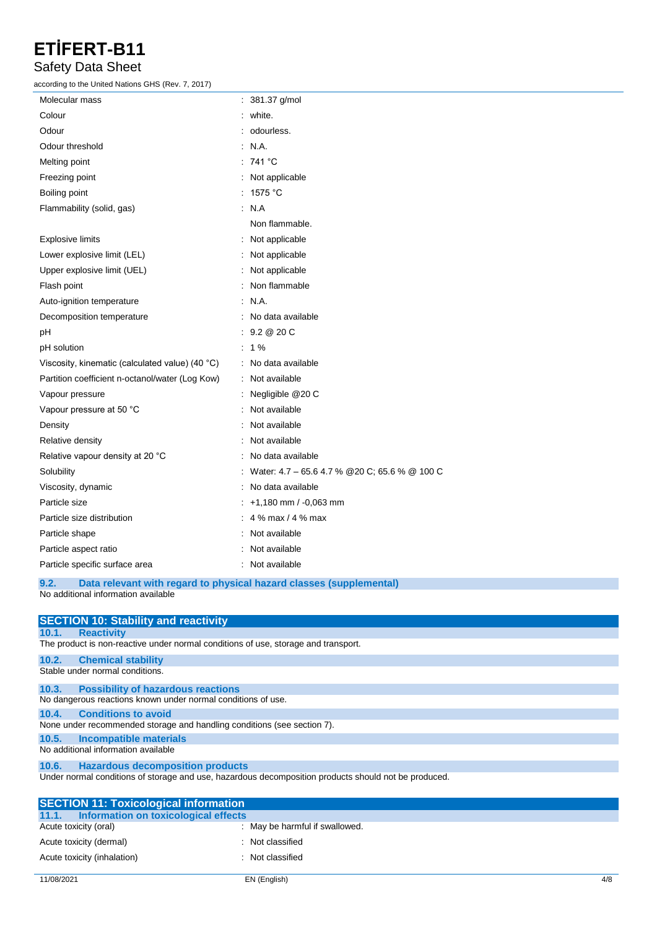### Safety Data Sheet

according to the United Nations GHS (Rev. 7, 2017)

| $\mathop{\mathtt{c}}$ cording to the United Nations GHS (Rev. 7, 2017) |                                                |
|------------------------------------------------------------------------|------------------------------------------------|
| Molecular mass                                                         | : 381.37 g/mol                                 |
| Colour                                                                 | white.                                         |
| Odour                                                                  | odourless.                                     |
| Odour threshold                                                        | : N.A.                                         |
| Melting point                                                          | : 741 °C                                       |
| Freezing point                                                         | Not applicable                                 |
| Boiling point                                                          | 1575 °C                                        |
| Flammability (solid, gas)                                              | $\therefore$ N.A                               |
|                                                                        | Non flammable.                                 |
| <b>Explosive limits</b>                                                | Not applicable                                 |
| Lower explosive limit (LEL)                                            | Not applicable                                 |
| Upper explosive limit (UEL)                                            | Not applicable                                 |
| Flash point                                                            | Non flammable                                  |
| Auto-ignition temperature                                              | N.A.                                           |
| Decomposition temperature                                              | No data available                              |
| рH                                                                     | : 9.2 @ 20 C                                   |
| pH solution                                                            | $: 1\%$                                        |
| Viscosity, kinematic (calculated value) (40 °C)                        | : No data available                            |
| Partition coefficient n-octanol/water (Log Kow)                        | Not available                                  |
| Vapour pressure                                                        | Negligible @20 C                               |
| Vapour pressure at 50 °C                                               | Not available                                  |
| Density                                                                | Not available                                  |
| Relative density                                                       | Not available                                  |
| Relative vapour density at 20 °C                                       | No data available                              |
| Solubility                                                             | Water: 4.7 - 65.6 4.7 % @ 20 C; 65.6 % @ 100 C |
| Viscosity, dynamic                                                     | No data available                              |
| Particle size                                                          | +1,180 mm / -0,063 mm                          |
| Particle size distribution                                             | 4 % max / 4 % max                              |
| Particle shape                                                         | Not available                                  |
| Particle aspect ratio                                                  | Not available                                  |
| Particle specific surface area                                         | : Not available                                |

**9.2. Data relevant with regard to physical hazard classes (supplemental)** No additional information available

|       | <b>SECTION 10: Stability and reactivity</b>                                                          |
|-------|------------------------------------------------------------------------------------------------------|
| 10.1. | <b>Reactivity</b>                                                                                    |
|       | The product is non-reactive under normal conditions of use, storage and transport.                   |
| 10.2. | <b>Chemical stability</b>                                                                            |
|       | Stable under normal conditions.                                                                      |
|       | 10.3. Possibility of hazardous reactions                                                             |
|       | No dangerous reactions known under normal conditions of use.                                         |
| 10.4. | <b>Conditions to avoid</b>                                                                           |
|       | None under recommended storage and handling conditions (see section 7).                              |
| 10.5. | Incompatible materials                                                                               |
|       | No additional information available                                                                  |
|       | 10.6. Hazardous decomposition products                                                               |
|       | Under normal conditions of storage and use, hazardous decomposition products should not be produced. |
|       | <b>SECTION 11: Toxicological information</b>                                                         |
|       | 11.1. Information on toxicological effects                                                           |
|       | Acute toxicity (oral)<br>: May be harmful if swallowed.                                              |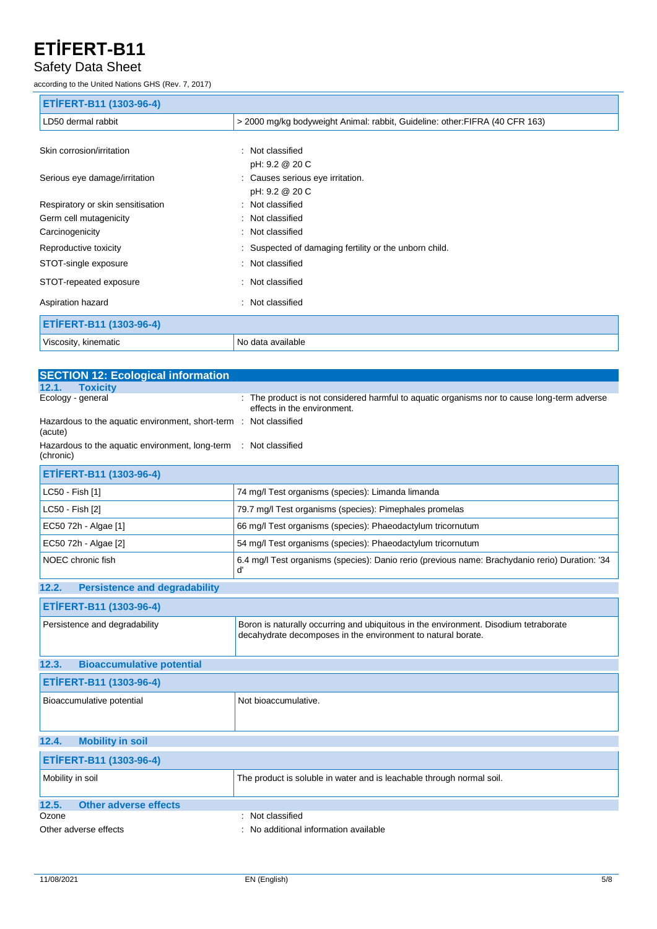#### Safety Data Sheet

according to the United Nations GHS (Rev. 7, 2017)

| ETİFERT-B11 (1303-96-4)           |                                                                              |
|-----------------------------------|------------------------------------------------------------------------------|
| LD50 dermal rabbit                | > 2000 mg/kg bodyweight Animal: rabbit, Guideline: other: FIFRA (40 CFR 163) |
|                                   |                                                                              |
| Skin corrosion/irritation         | : Not classified                                                             |
|                                   | pH: 9.2 @ 20 C                                                               |
| Serious eye damage/irritation     | : Causes serious eye irritation.                                             |
|                                   | pH: 9.2 @ 20 C                                                               |
| Respiratory or skin sensitisation | : Not classified                                                             |
| Germ cell mutagenicity            | : Not classified                                                             |
| Carcinogenicity                   | : Not classified                                                             |
| Reproductive toxicity             | Suspected of damaging fertility or the unborn child.                         |
| STOT-single exposure              | : Not classified                                                             |
| STOT-repeated exposure            | : Not classified                                                             |
| Aspiration hazard                 | : Not classified                                                             |
| ETİFERT-B11 (1303-96-4)           |                                                                              |
| Viscosity, kinematic              | No data available                                                            |

| <b>SECTION 12: Ecological information</b>                                    |                                                                                                                                                      |  |
|------------------------------------------------------------------------------|------------------------------------------------------------------------------------------------------------------------------------------------------|--|
| <b>Toxicity</b><br>12.1                                                      |                                                                                                                                                      |  |
| Ecology - general                                                            | : The product is not considered harmful to aquatic organisms nor to cause long-term adverse<br>effects in the environment.                           |  |
| Hazardous to the aquatic environment, short-term : Not classified<br>(acute) |                                                                                                                                                      |  |
| Hazardous to the aquatic environment, long-term<br>(chronic)                 | : Not classified                                                                                                                                     |  |
| ETİFERT-B11 (1303-96-4)                                                      |                                                                                                                                                      |  |
| LC50 - Fish [1]                                                              | 74 mg/l Test organisms (species): Limanda limanda                                                                                                    |  |
| LC50 - Fish [2]                                                              | 79.7 mg/l Test organisms (species): Pimephales promelas                                                                                              |  |
| EC50 72h - Algae [1]                                                         | 66 mg/l Test organisms (species): Phaeodactylum tricornutum                                                                                          |  |
| EC50 72h - Algae [2]                                                         | 54 mg/l Test organisms (species): Phaeodactylum tricornutum                                                                                          |  |
| NOEC chronic fish                                                            | 6.4 mg/l Test organisms (species): Danio rerio (previous name: Brachydanio rerio) Duration: '34<br>ď                                                 |  |
| <b>Persistence and degradability</b><br>12.2.                                |                                                                                                                                                      |  |
| ETİFERT-B11 (1303-96-4)                                                      |                                                                                                                                                      |  |
| Persistence and degradability                                                | Boron is naturally occurring and ubiquitous in the environment. Disodium tetraborate<br>decahydrate decomposes in the environment to natural borate. |  |
| <b>Bioaccumulative potential</b><br>12.3.                                    |                                                                                                                                                      |  |
| ETİFERT-B11 (1303-96-4)                                                      |                                                                                                                                                      |  |
| Bioaccumulative potential                                                    | Not bioaccumulative.                                                                                                                                 |  |
| 12.4.<br><b>Mobility in soil</b>                                             |                                                                                                                                                      |  |
| ETİFERT-B11 (1303-96-4)                                                      |                                                                                                                                                      |  |
| Mobility in soil                                                             | The product is soluble in water and is leachable through normal soil.                                                                                |  |
| <b>Other adverse effects</b><br>12.5.                                        |                                                                                                                                                      |  |
| Ozone                                                                        | Not classified                                                                                                                                       |  |
| Other adverse effects                                                        | No additional information available                                                                                                                  |  |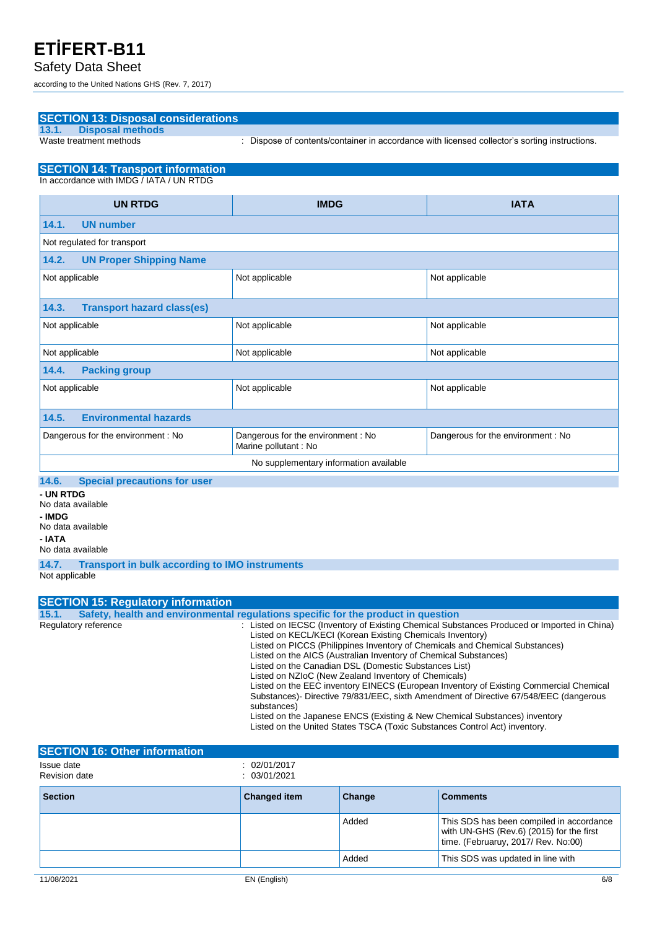#### Safety Data Sheet

according to the United Nations GHS (Rev. 7, 2017)

**SECTION 13: Disposal considerations**

| <b>Disposal methods</b><br>13.1.             |                                                             |                                                                                               |  |
|----------------------------------------------|-------------------------------------------------------------|-----------------------------------------------------------------------------------------------|--|
| Waste treatment methods                      |                                                             | : Dispose of contents/container in accordance with licensed collector's sorting instructions. |  |
| <b>SECTION 14: Transport information</b>     |                                                             |                                                                                               |  |
| In accordance with IMDG / IATA / UN RTDG     |                                                             |                                                                                               |  |
| <b>UN RTDG</b>                               | <b>IMDG</b>                                                 | <b>IATA</b>                                                                                   |  |
| 14.1.<br><b>UN number</b>                    |                                                             |                                                                                               |  |
| Not regulated for transport                  |                                                             |                                                                                               |  |
| <b>UN Proper Shipping Name</b><br>14.2.      |                                                             |                                                                                               |  |
| Not applicable                               | Not applicable                                              | Not applicable                                                                                |  |
| 14.3.<br><b>Transport hazard class(es)</b>   |                                                             |                                                                                               |  |
| Not applicable                               | Not applicable                                              | Not applicable                                                                                |  |
| Not applicable                               | Not applicable                                              | Not applicable                                                                                |  |
| 14.4.<br><b>Packing group</b>                |                                                             |                                                                                               |  |
| Not applicable                               | Not applicable                                              | Not applicable                                                                                |  |
| <b>Environmental hazards</b><br>14.5.        |                                                             |                                                                                               |  |
| Dangerous for the environment : No           | Dangerous for the environment : No<br>Marine pollutant : No | Dangerous for the environment : No                                                            |  |
|                                              | No supplementary information available                      |                                                                                               |  |
| <b>Special precautions for user</b><br>14.6. |                                                             |                                                                                               |  |
| - UN RTDG<br>No doto quoilable               |                                                             |                                                                                               |  |

No data available **- IMDG** No data available

**- IATA** No data available

**14.7. Transport in bulk according to IMO instruments** Not applicable

| <b>SECTION 15: Regulatory information</b> |                                                                                                                                                                                                                                                                                                                                                                                                                                                                                                                                                                                                                                                                                                                                                                                             |
|-------------------------------------------|---------------------------------------------------------------------------------------------------------------------------------------------------------------------------------------------------------------------------------------------------------------------------------------------------------------------------------------------------------------------------------------------------------------------------------------------------------------------------------------------------------------------------------------------------------------------------------------------------------------------------------------------------------------------------------------------------------------------------------------------------------------------------------------------|
| 15.1.                                     | Safety, health and environmental requiations specific for the product in question                                                                                                                                                                                                                                                                                                                                                                                                                                                                                                                                                                                                                                                                                                           |
| Regulatory reference                      | : Listed on IECSC (Inventory of Existing Chemical Substances Produced or Imported in China)<br>Listed on KECL/KECI (Korean Existing Chemicals Inventory)<br>Listed on PICCS (Philippines Inventory of Chemicals and Chemical Substances)<br>Listed on the AICS (Australian Inventory of Chemical Substances)<br>Listed on the Canadian DSL (Domestic Substances List)<br>Listed on NZIoC (New Zealand Inventory of Chemicals)<br>Listed on the EEC inventory EINECS (European Inventory of Existing Commercial Chemical<br>Substances)- Directive 79/831/EEC, sixth Amendment of Directive 67/548/EEC (dangerous<br>substances)<br>Listed on the Japanese ENCS (Existing & New Chemical Substances) inventory<br>Listed on the United States TSCA (Toxic Substances Control Act) inventory. |

| <b>SECTION 16: Other information</b> |                              |        |                                                                                                                             |
|--------------------------------------|------------------------------|--------|-----------------------------------------------------------------------------------------------------------------------------|
| Issue date<br>Revision date          | : 02/01/2017<br>: 03/01/2021 |        |                                                                                                                             |
| <b>Section</b>                       | <b>Changed item</b>          | Change | <b>Comments</b>                                                                                                             |
|                                      |                              | Added  | This SDS has been compiled in accordance<br>with UN-GHS (Rev.6) (2015) for the first<br>time. (Februaruy, 2017/ Rev. No:00) |
|                                      |                              | Added  | This SDS was updated in line with                                                                                           |
| 11/08/2021                           | EN (English)                 |        | 6/8                                                                                                                         |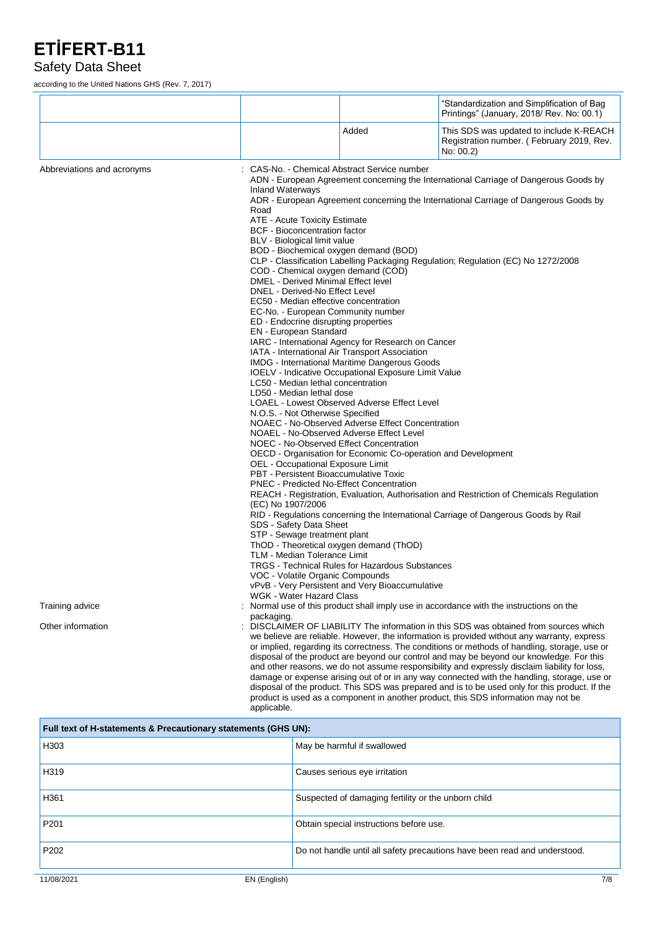#### Safety Data Sheet

according to the United Nations GHS (Rev. 7, 2017)

|                            |                                                                                                                                                                                                                                                                                                                                                                                                                                                                                                                                                        |                                                                                                                                                                                                                                                                                                                                                                                                                                                                                                                                                                                                                                                                                                                                                                                                                                                                                  | "Standardization and Simplification of Bag<br>Printings" (January, 2018/ Rev. No: 00.1)                                                                                                                                                                                                                                                                                                                                                                                                                                                                                                    |
|----------------------------|--------------------------------------------------------------------------------------------------------------------------------------------------------------------------------------------------------------------------------------------------------------------------------------------------------------------------------------------------------------------------------------------------------------------------------------------------------------------------------------------------------------------------------------------------------|----------------------------------------------------------------------------------------------------------------------------------------------------------------------------------------------------------------------------------------------------------------------------------------------------------------------------------------------------------------------------------------------------------------------------------------------------------------------------------------------------------------------------------------------------------------------------------------------------------------------------------------------------------------------------------------------------------------------------------------------------------------------------------------------------------------------------------------------------------------------------------|--------------------------------------------------------------------------------------------------------------------------------------------------------------------------------------------------------------------------------------------------------------------------------------------------------------------------------------------------------------------------------------------------------------------------------------------------------------------------------------------------------------------------------------------------------------------------------------------|
|                            |                                                                                                                                                                                                                                                                                                                                                                                                                                                                                                                                                        | Added                                                                                                                                                                                                                                                                                                                                                                                                                                                                                                                                                                                                                                                                                                                                                                                                                                                                            | This SDS was updated to include K-REACH<br>Registration number. (February 2019, Rev.<br>No: 00.2)                                                                                                                                                                                                                                                                                                                                                                                                                                                                                          |
| Abbreviations and acronyms | <b>Inland Waterways</b><br>Road<br>ATE - Acute Toxicity Estimate<br><b>BCF</b> - Bioconcentration factor<br>BLV - Biological limit value<br>DMEL - Derived Minimal Effect level<br>DNEL - Derived-No Effect Level<br>ED - Endocrine disrupting properties<br>EN - European Standard<br>LC50 - Median lethal concentration<br>LD50 - Median lethal dose<br>N.O.S. - Not Otherwise Specified<br>OEL - Occupational Exposure Limit<br>(EC) No 1907/2006<br>SDS - Safety Data Sheet<br>STP - Sewage treatment plant<br><b>TLM - Median Tolerance Limit</b> | CAS-No. - Chemical Abstract Service number<br>BOD - Biochemical oxygen demand (BOD)<br>COD - Chemical oxygen demand (COD)<br>EC50 - Median effective concentration<br>EC-No. - European Community number<br>IARC - International Agency for Research on Cancer<br>IATA - International Air Transport Association<br>IMDG - International Maritime Dangerous Goods<br>IOELV - Indicative Occupational Exposure Limit Value<br>LOAEL - Lowest Observed Adverse Effect Level<br>NOAEC - No-Observed Adverse Effect Concentration<br>NOAEL - No-Observed Adverse Effect Level<br>NOEC - No-Observed Effect Concentration<br>OECD - Organisation for Economic Co-operation and Development<br>PBT - Persistent Bioaccumulative Toxic<br>PNEC - Predicted No-Effect Concentration<br>ThOD - Theoretical oxygen demand (ThOD)<br><b>TRGS</b> - Technical Rules for Hazardous Substances | ADN - European Agreement concerning the International Carriage of Dangerous Goods by<br>ADR - European Agreement concerning the International Carriage of Dangerous Goods by<br>CLP - Classification Labelling Packaging Regulation; Regulation (EC) No 1272/2008<br>REACH - Registration, Evaluation, Authorisation and Restriction of Chemicals Regulation<br>RID - Regulations concerning the International Carriage of Dangerous Goods by Rail                                                                                                                                         |
| Training advice            | VOC - Volatile Organic Compounds<br>WGK - Water Hazard Class                                                                                                                                                                                                                                                                                                                                                                                                                                                                                           | vPvB - Very Persistent and Very Bioaccumulative                                                                                                                                                                                                                                                                                                                                                                                                                                                                                                                                                                                                                                                                                                                                                                                                                                  | : Normal use of this product shall imply use in accordance with the instructions on the                                                                                                                                                                                                                                                                                                                                                                                                                                                                                                    |
| Other information          | packaging.                                                                                                                                                                                                                                                                                                                                                                                                                                                                                                                                             |                                                                                                                                                                                                                                                                                                                                                                                                                                                                                                                                                                                                                                                                                                                                                                                                                                                                                  | : DISCLAIMER OF LIABILITY The information in this SDS was obtained from sources which                                                                                                                                                                                                                                                                                                                                                                                                                                                                                                      |
|                            |                                                                                                                                                                                                                                                                                                                                                                                                                                                                                                                                                        |                                                                                                                                                                                                                                                                                                                                                                                                                                                                                                                                                                                                                                                                                                                                                                                                                                                                                  | we believe are reliable. However, the information is provided without any warranty, express<br>or implied, regarding its correctness. The conditions or methods of handling, storage, use or<br>disposal of the product are beyond our control and may be beyond our knowledge. For this<br>and other reasons, we do not assume responsibility and expressly disclaim liability for loss,<br>damage or expense arising out of or in any way connected with the handling, storage, use or<br>disposal of the product. This SDS was prepared and is to be used only for this product. If the |

| Full text of H-statements & Precautionary statements (GHS UN): |                                                                           |  |
|----------------------------------------------------------------|---------------------------------------------------------------------------|--|
| H303                                                           | May be harmful if swallowed                                               |  |
| H319                                                           | Causes serious eye irritation                                             |  |
| H361                                                           | Suspected of damaging fertility or the unborn child                       |  |
| P <sub>201</sub>                                               | Obtain special instructions before use.                                   |  |
| P <sub>202</sub>                                               | Do not handle until all safety precautions have been read and understood. |  |

product is used as a component in another product, this SDS information may not be

applicable.